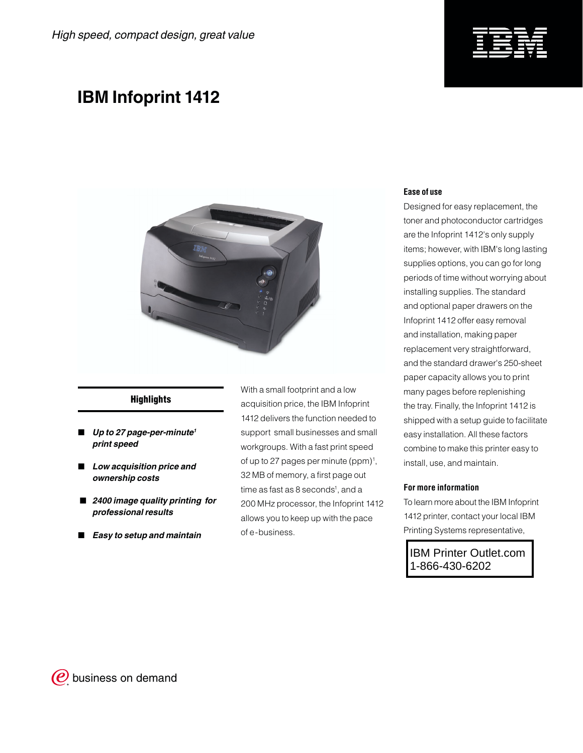

## **IBM Infoprint 1412**



### **Highlights**

- *Up to 27 page-per-minute1 print speed*
- *Low acquisition price and ownership costs*
- *2400 image quality printing for professional results*
- *Easy to setup and maintain*

With a small footprint and a low acquisition price, the IBM Infoprint 1412 delivers the function needed to support small businesses and small workgroups. With a fast print speed of up to 27 pages per minute (ppm)<sup>1</sup>, 32 MB of memory, a first page out time as fast as 8 seconds<sup>1</sup>, and a 200 MHz processor, the Infoprint 1412 allows you to keep up with the pace of e-business.

#### **Ease of use**

Designed for easy replacement, the toner and photoconductor cartridges are the Infoprint 1412's only supply items; however, with IBM's long lasting supplies options, you can go for long periods of time without worrying about installing supplies. The standard and optional paper drawers on the Infoprint 1412 offer easy removal and installation, making paper replacement very straightforward, and the standard drawer's 250-sheet paper capacity allows you to print many pages before replenishing the tray. Finally, the Infoprint 1412 is shipped with a setup guide to facilitate easy installation. All these factors combine to make this printer easy to install, use, and maintain.

#### **For more information**

To learn more about the IBM Infoprint 1412 printer, contact your local IBM Printing Systems representative,

IBM Printer Outlet.com 1-866-430-6202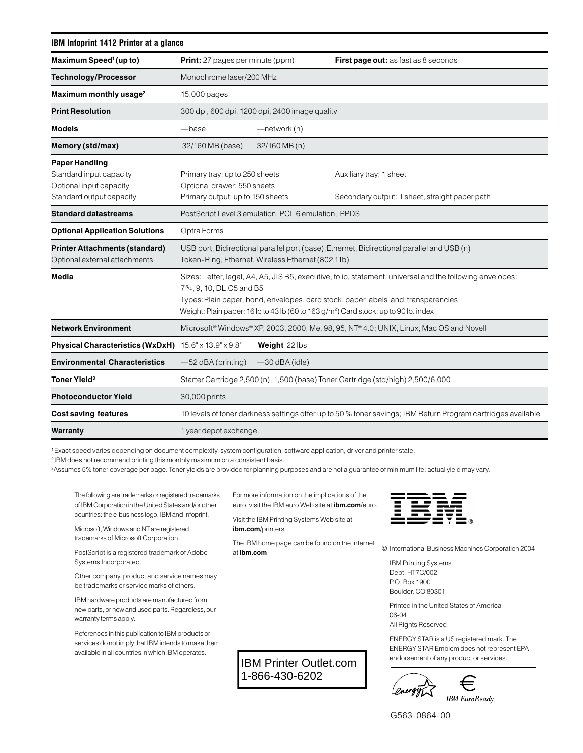| IBM Infoprint 1412 Printer at a glance                                                                  |                                                                                                                                                                                                                                                                                                                                 |                  |                                                                                                              |  |  |
|---------------------------------------------------------------------------------------------------------|---------------------------------------------------------------------------------------------------------------------------------------------------------------------------------------------------------------------------------------------------------------------------------------------------------------------------------|------------------|--------------------------------------------------------------------------------------------------------------|--|--|
| Maximum Speed <sup>1</sup> (up to)                                                                      | <b>Print:</b> 27 pages per minute (ppm)                                                                                                                                                                                                                                                                                         |                  | <b>First page out:</b> as fast as 8 seconds                                                                  |  |  |
| <b>Technology/Processor</b>                                                                             | Monochrome laser/200 MHz                                                                                                                                                                                                                                                                                                        |                  |                                                                                                              |  |  |
| Maximum monthly usage <sup>2</sup>                                                                      | 15,000 pages                                                                                                                                                                                                                                                                                                                    |                  |                                                                                                              |  |  |
| <b>Print Resolution</b>                                                                                 | 300 dpi, 600 dpi, 1200 dpi, 2400 image quality                                                                                                                                                                                                                                                                                  |                  |                                                                                                              |  |  |
| <b>Models</b>                                                                                           | -base                                                                                                                                                                                                                                                                                                                           | -network (n)     |                                                                                                              |  |  |
| Memory (std/max)                                                                                        | 32/160 MB (base)                                                                                                                                                                                                                                                                                                                | 32/160 MB (n)    |                                                                                                              |  |  |
| <b>Paper Handling</b><br>Standard input capacity<br>Optional input capacity<br>Standard output capacity | Primary tray: up to 250 sheets<br>Optional drawer: 550 sheets<br>Primary output: up to 150 sheets                                                                                                                                                                                                                               |                  | Auxiliary tray: 1 sheet<br>Secondary output: 1 sheet, straight paper path                                    |  |  |
| Standard datastreams                                                                                    | PostScript Level 3 emulation, PCL 6 emulation, PPDS                                                                                                                                                                                                                                                                             |                  |                                                                                                              |  |  |
| <b>Optional Application Solutions</b>                                                                   | Optra Forms                                                                                                                                                                                                                                                                                                                     |                  |                                                                                                              |  |  |
| <b>Printer Attachments (standard)</b><br>Optional external attachments                                  | USB port, Bidirectional parallel port (base); Ethernet, Bidirectional parallel and USB (n)<br>Token-Ring, Ethernet, Wireless Ethernet (802.11b)                                                                                                                                                                                 |                  |                                                                                                              |  |  |
| Media                                                                                                   | Sizes: Letter, legal, A4, A5, JIS B5, executive, folio, statement, universal and the following envelopes:<br>73/4, 9, 10, DL, C5 and B5<br>Types: Plain paper, bond, envelopes, card stock, paper labels and transparencies<br>Weight: Plain paper: 16 lb to 43 lb (60 to 163 g/m <sup>2</sup> ) Card stock: up to 90 lb. index |                  |                                                                                                              |  |  |
| <b>Network Environment</b>                                                                              |                                                                                                                                                                                                                                                                                                                                 |                  | Microsoft® Windows® XP, 2003, 2000, Me, 98, 95, NT® 4.0; UNIX, Linux, Mac OS and Novell                      |  |  |
| Physical Characteristics (WxDxH) 15.6" x 13.9" x 9.8"                                                   |                                                                                                                                                                                                                                                                                                                                 | Weight 22 lbs    |                                                                                                              |  |  |
| <b>Environmental Characteristics</b>                                                                    | $-52$ dBA (printing)                                                                                                                                                                                                                                                                                                            | $-30$ dBA (idle) |                                                                                                              |  |  |
| Toner Yield <sup>3</sup>                                                                                |                                                                                                                                                                                                                                                                                                                                 |                  | Starter Cartridge 2,500 (n), 1,500 (base) Toner Cartridge (std/high) 2,500/6,000                             |  |  |
| <b>Photoconductor Yield</b>                                                                             | 30,000 prints                                                                                                                                                                                                                                                                                                                   |                  |                                                                                                              |  |  |
| <b>Cost saving features</b>                                                                             |                                                                                                                                                                                                                                                                                                                                 |                  | 10 levels of toner darkness settings offer up to 50 % toner savings; IBM Return Program cartridges available |  |  |
| Warranty                                                                                                | 1 year depot exchange.                                                                                                                                                                                                                                                                                                          |                  |                                                                                                              |  |  |

1 Exact speed varies depending on document complexity, system configuration, software application, driver and printer state.

2 IBM does not recommend printing this monthly maximum on a consistent basis.

3 Assumes 5% toner coverage per page. Toner yields are provided for planning purposes and are not a guarantee of minimum life; actual yield may vary.

| ____ |                      |           |  |  |
|------|----------------------|-----------|--|--|
|      | ______               |           |  |  |
|      | - - - - -            |           |  |  |
|      | ______               |           |  |  |
|      | - <del>- - - -</del> |           |  |  |
| −    |                      | - - - - - |  |  |
|      | ______               |           |  |  |

The following are trademarks or registered trademarks of IBM Corporation in the United States and/or other countries: the e-business logo, IBM and Infoprint.

Microsoft, Windows and NT are registered trademarks of Microsoft Corporation.

PostScript is a registered trademark of Adobe Systems Incorporated.

Other company, product and service names may be trademarks or service marks of others.

IBM hardware products are manufactured from new parts, or new and used parts. Regardless, our warranty terms apply.

 References in this publication to IBM products or services do not imply that IBM intends to make them available in all countries in which IBM operates.

For more information on the implications of the euro, visit the IBM euro Web site at **ibm.com**/euro.

Visit the IBM Printing Systems Web site at **ibm.com**/printers

The IBM home page can be found on the Internet at **ibm.com**

IBM Printer Outlet.com 1-866-430-6202

© International Business Machines Corporation 2004

IBM Printing Systems Dept. HT7C/002 P.O. Box 1900 Boulder, CO 80301

Printed in the United States of America 06-04 All Rights Reserved

ENERGY STAR is a US registered mark. The ENERGY STAR Emblem does not represent EPA endorsement of any product or services.



G563-0864-00